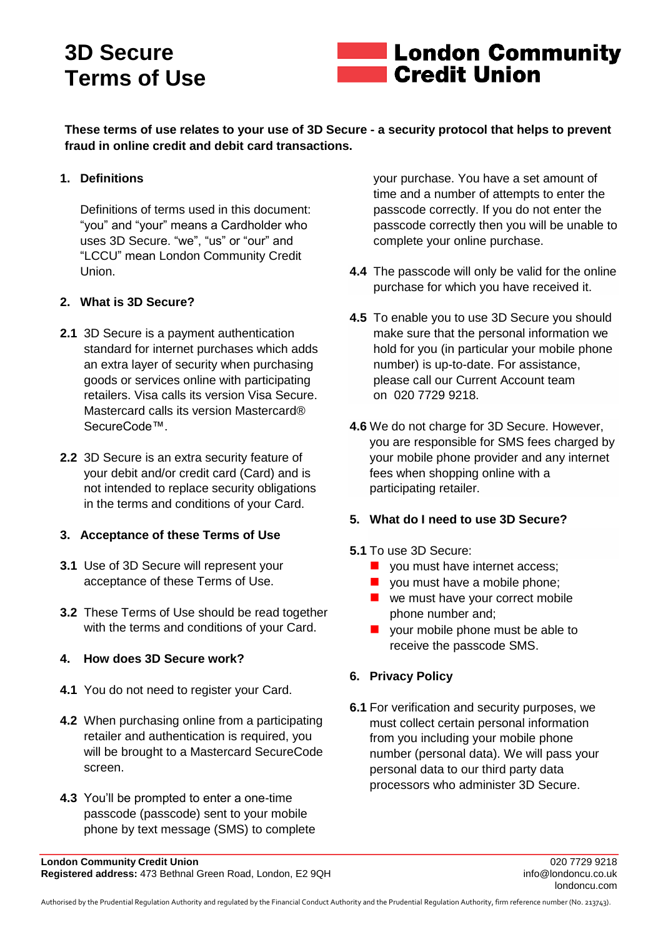# **3D Secure Terms of Use**



**These terms of use relates to your use of 3D Secure - a security protocol that helps to prevent fraud in online credit and debit card transactions.**

# **1. Definitions**

Definitions of terms used in this document: "you" and "your" means a Cardholder who uses 3D Secure. "we", "us" or "our" and "LCCU" mean London Community Credit Union.

#### **2. What is 3D Secure?**

- **2.1** 3D Secure is a payment authentication standard for internet purchases which adds an extra layer of security when purchasing goods or services online with participating retailers. Visa calls its version Visa Secure. Mastercard calls its version Mastercard® SecureCode™.
- **2.2** 3D Secure is an extra security feature of your debit and/or credit card (Card) and is not intended to replace security obligations in the terms and conditions of your Card.

# **3. Acceptance of these Terms of Use**

- **3.1** Use of 3D Secure will represent your acceptance of these Terms of Use.
- **3.2** These Terms of Use should be read together with the terms and conditions of your Card.

# **4. How does 3D Secure work?**

- **4.1** You do not need to register your Card.
- **4.2** When purchasing online from a participating retailer and authentication is required, you will be brought to a Mastercard SecureCode screen.
- **4.3** You'll be prompted to enter a one-time passcode (passcode) sent to your mobile phone by text message (SMS) to complete

your purchase. You have a set amount of time and a number of attempts to enter the passcode correctly. If you do not enter the passcode correctly then you will be unable to complete your online purchase.

- **4.4** The passcode will only be valid for the online purchase for which you have received it.
- **4.5** To enable you to use 3D Secure you should make sure that the personal information we hold for you (in particular your mobile phone number) is up-to-date. For assistance, please call our Current Account team on 020 7729 [9218.](tel:442077299218)
- **4.6** We do not charge for 3D Secure. However, you are responsible for SMS fees charged by your mobile phone provider and any internet fees when shopping online with a participating retailer.

# **5. What do I need to use 3D Secure?**

#### **5.1** To use 3D Secure:

- **vou must have internet access;**
- you must have a mobile phone;
- we must have your correct mobile phone number and;
- **vour mobile phone must be able to** receive the passcode SMS.

# **6. Privacy Policy**

**6.1** For verification and security purposes, we must collect certain personal information from you including your mobile phone number (personal data). We will pass your personal data to our third party data processors who administer 3D Secure.